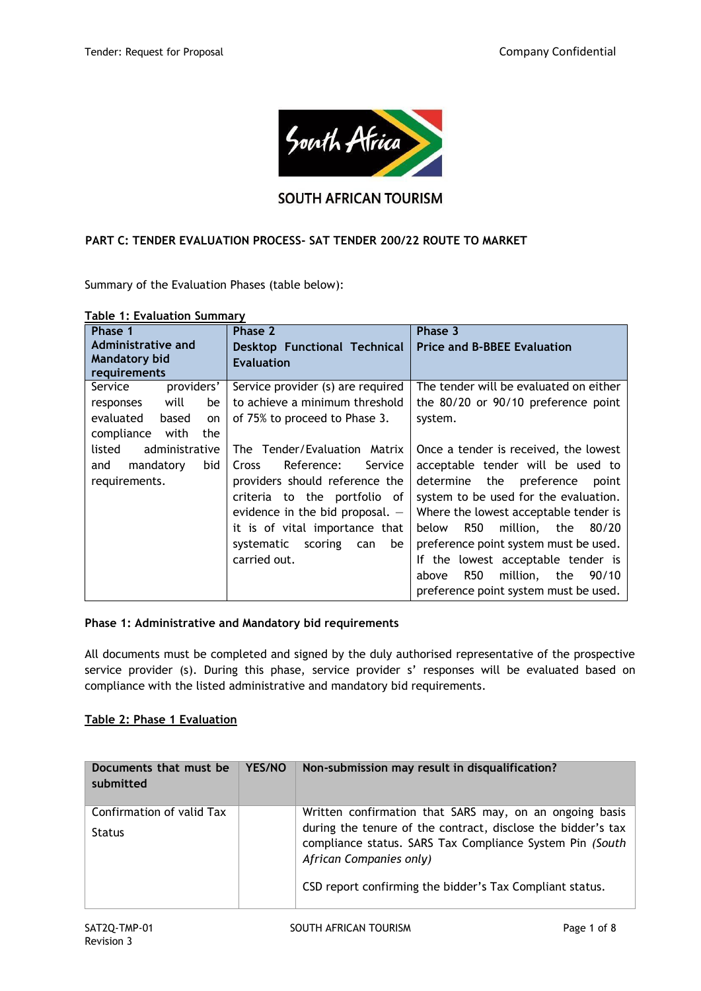

# **SOUTH AFRICAN TOURISM**

### **PART C: TENDER EVALUATION PROCESS- SAT TENDER 200/22 ROUTE TO MARKET**

Summary of the Evaluation Phases (table below):

| $\frac{1}{2}$<br>Phase 1        | Phase 2                               | Phase 3                                |  |
|---------------------------------|---------------------------------------|----------------------------------------|--|
| Administrative and              | <b>Desktop Functional Technical</b>   | <b>Price and B-BBEE Evaluation</b>     |  |
| <b>Mandatory bid</b>            | <b>Evaluation</b>                     |                                        |  |
| requirements                    |                                       |                                        |  |
| Service<br>providers'           | Service provider (s) are required     | The tender will be evaluated on either |  |
| will<br>be<br>responses         | to achieve a minimum threshold        | the 80/20 or 90/10 preference point    |  |
| evaluated<br>based<br><b>on</b> | of 75% to proceed to Phase 3.         | system.                                |  |
| compliance<br>with<br>the       |                                       |                                        |  |
| administrative<br>listed        | The Tender/Evaluation Matrix          | Once a tender is received, the lowest  |  |
| bid<br>mandatory<br>and         | Reference:<br>Service<br><b>Cross</b> | acceptable tender will be used to      |  |
| requirements.                   | providers should reference the        | determine the preference<br>point      |  |
|                                 | criteria to the portfolio of          | system to be used for the evaluation.  |  |
|                                 | evidence in the bid proposal. $-$     | Where the lowest acceptable tender is  |  |
|                                 | it is of vital importance that        | R50<br>million, the<br>80/20<br>below  |  |
|                                 | systematic scoring<br>be<br>can       | preference point system must be used.  |  |
|                                 | carried out.                          | If the lowest acceptable tender is     |  |
|                                 |                                       | million, the<br>R50<br>90/10<br>above  |  |
|                                 |                                       | preference point system must be used.  |  |

#### **Table 1: Evaluation Summary**

#### **Phase 1: Administrative and Mandatory bid requirements**

All documents must be completed and signed by the duly authorised representative of the prospective service provider (s). During this phase, service provider s' responses will be evaluated based on compliance with the listed administrative and mandatory bid requirements.

### **Table 2: Phase 1 Evaluation**

| Documents that must be<br>submitted        | YES/NO | Non-submission may result in disqualification?                                                                                                                                                                                                                             |
|--------------------------------------------|--------|----------------------------------------------------------------------------------------------------------------------------------------------------------------------------------------------------------------------------------------------------------------------------|
| Confirmation of valid Tax<br><b>Status</b> |        | Written confirmation that SARS may, on an ongoing basis<br>during the tenure of the contract, disclose the bidder's tax<br>compliance status. SARS Tax Compliance System Pin (South<br>African Companies only)<br>CSD report confirming the bidder's Tax Compliant status. |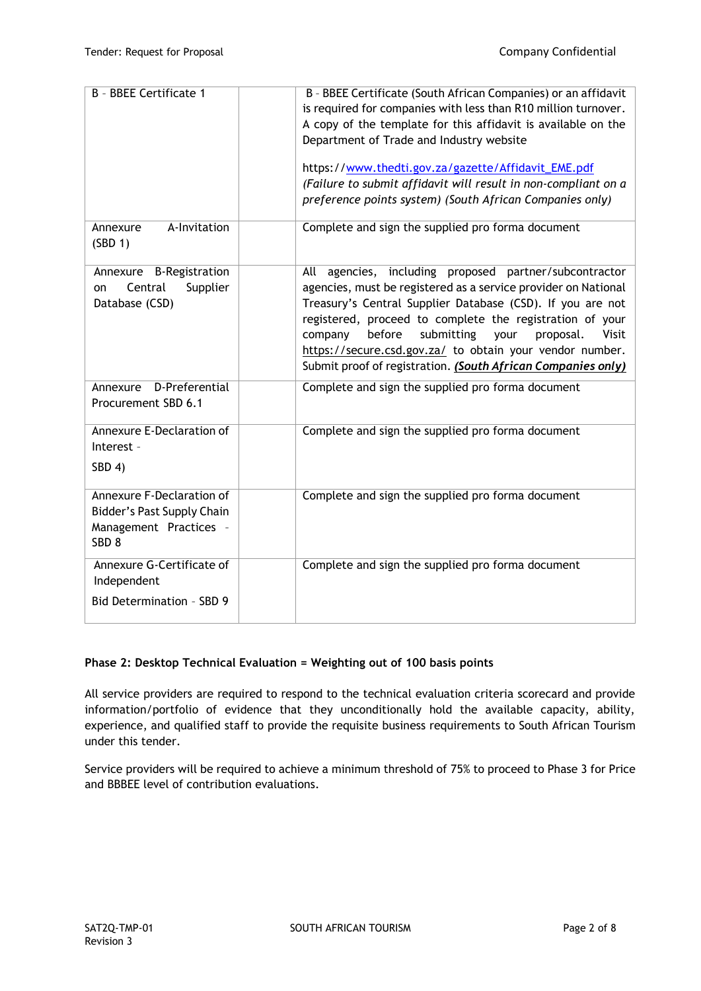| B - BBEE Certificate 1                                                                                | B - BBEE Certificate (South African Companies) or an affidavit<br>is required for companies with less than R10 million turnover.                                                                                                                                                                                                                                                                                                                   |
|-------------------------------------------------------------------------------------------------------|----------------------------------------------------------------------------------------------------------------------------------------------------------------------------------------------------------------------------------------------------------------------------------------------------------------------------------------------------------------------------------------------------------------------------------------------------|
|                                                                                                       | A copy of the template for this affidavit is available on the                                                                                                                                                                                                                                                                                                                                                                                      |
|                                                                                                       | Department of Trade and Industry website                                                                                                                                                                                                                                                                                                                                                                                                           |
|                                                                                                       | https://www.thedti.gov.za/gazette/Affidavit_EME.pdf                                                                                                                                                                                                                                                                                                                                                                                                |
|                                                                                                       | (Failure to submit affidavit will result in non-compliant on a                                                                                                                                                                                                                                                                                                                                                                                     |
|                                                                                                       | preference points system) (South African Companies only)                                                                                                                                                                                                                                                                                                                                                                                           |
| A-Invitation<br>Annexure<br>(SBD 1)                                                                   | Complete and sign the supplied pro forma document                                                                                                                                                                                                                                                                                                                                                                                                  |
| <b>B-Registration</b><br>Annexure<br>Central<br>Supplier<br>on<br>Database (CSD)                      | agencies, including proposed partner/subcontractor<br>All<br>agencies, must be registered as a service provider on National<br>Treasury's Central Supplier Database (CSD). If you are not<br>registered, proceed to complete the registration of your<br>before<br>submitting<br>company<br>your<br>proposal.<br>Visit<br>https://secure.csd.gov.za/ to obtain your vendor number.<br>Submit proof of registration. (South African Companies only) |
| D-Preferential<br>Annexure<br>Procurement SBD 6.1                                                     | Complete and sign the supplied pro forma document                                                                                                                                                                                                                                                                                                                                                                                                  |
| Annexure E-Declaration of<br>Interest -<br>SBD 4)                                                     | Complete and sign the supplied pro forma document                                                                                                                                                                                                                                                                                                                                                                                                  |
| Annexure F-Declaration of<br>Bidder's Past Supply Chain<br>Management Practices -<br>SBD <sub>8</sub> | Complete and sign the supplied pro forma document                                                                                                                                                                                                                                                                                                                                                                                                  |
| Annexure G-Certificate of<br>Independent                                                              | Complete and sign the supplied pro forma document                                                                                                                                                                                                                                                                                                                                                                                                  |
| Bid Determination - SBD 9                                                                             |                                                                                                                                                                                                                                                                                                                                                                                                                                                    |

# **Phase 2: Desktop Technical Evaluation = Weighting out of 100 basis points**

All service providers are required to respond to the technical evaluation criteria scorecard and provide information/portfolio of evidence that they unconditionally hold the available capacity, ability, experience, and qualified staff to provide the requisite business requirements to South African Tourism under this tender.

Service providers will be required to achieve a minimum threshold of 75% to proceed to Phase 3 for Price and BBBEE level of contribution evaluations.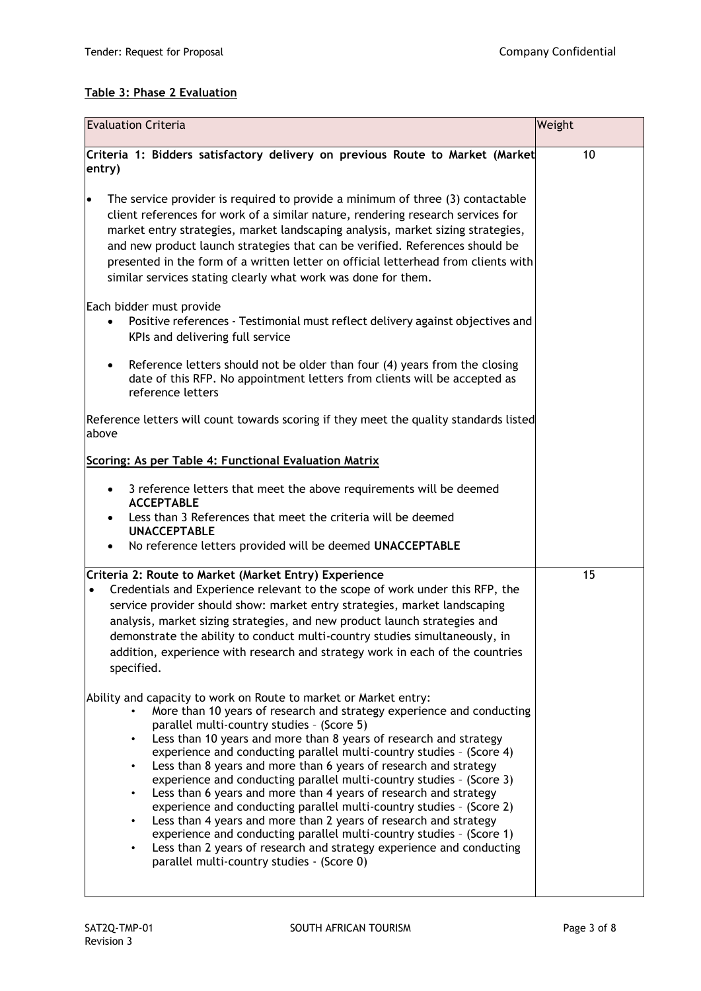# **Table 3: Phase 2 Evaluation**

| <b>Evaluation Criteria</b>                                                                                                                                                                                                                                                                                                                                                                                                                                                                                                                                                                                                                                                                                                                                                                                                                                                                                                                                      | Weight |
|-----------------------------------------------------------------------------------------------------------------------------------------------------------------------------------------------------------------------------------------------------------------------------------------------------------------------------------------------------------------------------------------------------------------------------------------------------------------------------------------------------------------------------------------------------------------------------------------------------------------------------------------------------------------------------------------------------------------------------------------------------------------------------------------------------------------------------------------------------------------------------------------------------------------------------------------------------------------|--------|
| Criteria 1: Bidders satisfactory delivery on previous Route to Market (Market<br>entry)                                                                                                                                                                                                                                                                                                                                                                                                                                                                                                                                                                                                                                                                                                                                                                                                                                                                         | 10     |
| The service provider is required to provide a minimum of three (3) contactable<br>$\bullet$<br>client references for work of a similar nature, rendering research services for<br>market entry strategies, market landscaping analysis, market sizing strategies,<br>and new product launch strategies that can be verified. References should be<br>presented in the form of a written letter on official letterhead from clients with<br>similar services stating clearly what work was done for them.                                                                                                                                                                                                                                                                                                                                                                                                                                                        |        |
| Each bidder must provide<br>Positive references - Testimonial must reflect delivery against objectives and<br>$\bullet$<br>KPIs and delivering full service                                                                                                                                                                                                                                                                                                                                                                                                                                                                                                                                                                                                                                                                                                                                                                                                     |        |
| Reference letters should not be older than four (4) years from the closing<br>$\bullet$<br>date of this RFP. No appointment letters from clients will be accepted as<br>reference letters                                                                                                                                                                                                                                                                                                                                                                                                                                                                                                                                                                                                                                                                                                                                                                       |        |
| Reference letters will count towards scoring if they meet the quality standards listed<br>above                                                                                                                                                                                                                                                                                                                                                                                                                                                                                                                                                                                                                                                                                                                                                                                                                                                                 |        |
| Scoring: As per Table 4: Functional Evaluation Matrix                                                                                                                                                                                                                                                                                                                                                                                                                                                                                                                                                                                                                                                                                                                                                                                                                                                                                                           |        |
| 3 reference letters that meet the above requirements will be deemed<br>$\bullet$<br><b>ACCEPTABLE</b><br>Less than 3 References that meet the criteria will be deemed<br><b>UNACCEPTABLE</b><br>No reference letters provided will be deemed UNACCEPTABLE                                                                                                                                                                                                                                                                                                                                                                                                                                                                                                                                                                                                                                                                                                       |        |
| Criteria 2: Route to Market (Market Entry) Experience<br>Credentials and Experience relevant to the scope of work under this RFP, the<br>$\bullet$<br>service provider should show: market entry strategies, market landscaping<br>analysis, market sizing strategies, and new product launch strategies and<br>demonstrate the ability to conduct multi-country studies simultaneously, in<br>addition, experience with research and strategy work in each of the countries<br>specified.                                                                                                                                                                                                                                                                                                                                                                                                                                                                      | 15     |
| Ability and capacity to work on Route to market or Market entry:<br>More than 10 years of research and strategy experience and conducting<br>parallel multi-country studies - (Score 5)<br>Less than 10 years and more than 8 years of research and strategy<br>$\bullet$<br>experience and conducting parallel multi-country studies - (Score 4)<br>Less than 8 years and more than 6 years of research and strategy<br>$\bullet$<br>experience and conducting parallel multi-country studies - (Score 3)<br>Less than 6 years and more than 4 years of research and strategy<br>$\bullet$<br>experience and conducting parallel multi-country studies - (Score 2)<br>Less than 4 years and more than 2 years of research and strategy<br>$\bullet$<br>experience and conducting parallel multi-country studies - (Score 1)<br>Less than 2 years of research and strategy experience and conducting<br>$\bullet$<br>parallel multi-country studies - (Score 0) |        |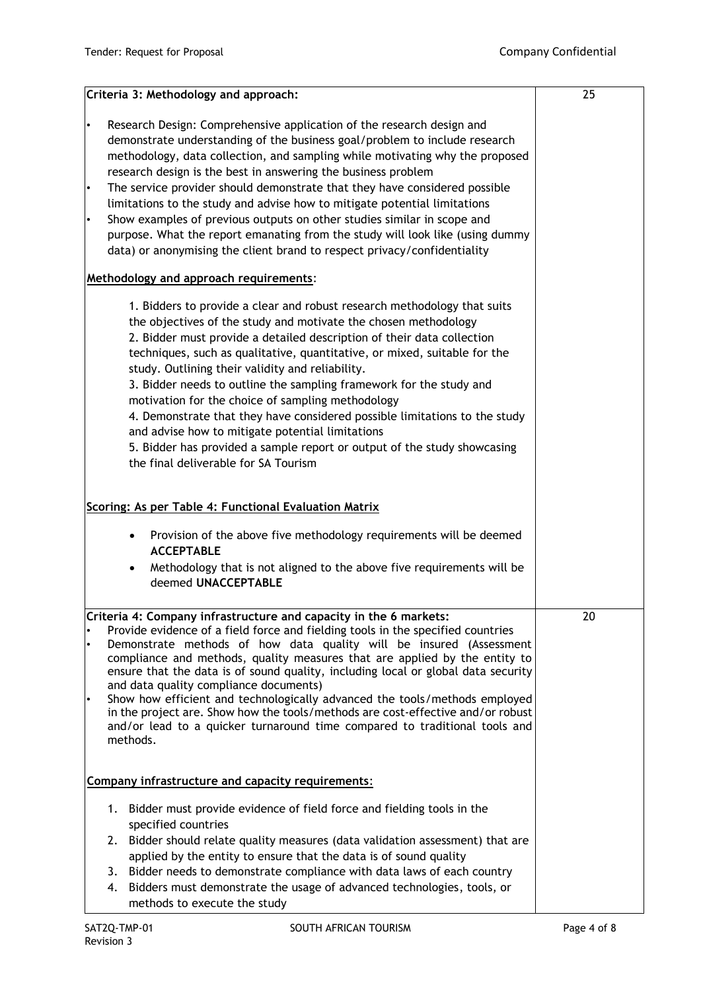| Criteria 3: Methodology and approach:                                                                                                                                                                                                                                                                                                                                                                                                                                                                                                                                                                                                                                                                                                          | 25 |
|------------------------------------------------------------------------------------------------------------------------------------------------------------------------------------------------------------------------------------------------------------------------------------------------------------------------------------------------------------------------------------------------------------------------------------------------------------------------------------------------------------------------------------------------------------------------------------------------------------------------------------------------------------------------------------------------------------------------------------------------|----|
| Research Design: Comprehensive application of the research design and<br>$\bullet$<br>demonstrate understanding of the business goal/problem to include research<br>methodology, data collection, and sampling while motivating why the proposed<br>research design is the best in answering the business problem<br>The service provider should demonstrate that they have considered possible<br>$\bullet$<br>limitations to the study and advise how to mitigate potential limitations<br>Show examples of previous outputs on other studies similar in scope and<br>$\bullet$<br>purpose. What the report emanating from the study will look like (using dummy<br>data) or anonymising the client brand to respect privacy/confidentiality |    |
| Methodology and approach requirements:                                                                                                                                                                                                                                                                                                                                                                                                                                                                                                                                                                                                                                                                                                         |    |
| 1. Bidders to provide a clear and robust research methodology that suits<br>the objectives of the study and motivate the chosen methodology<br>2. Bidder must provide a detailed description of their data collection<br>techniques, such as qualitative, quantitative, or mixed, suitable for the<br>study. Outlining their validity and reliability.<br>3. Bidder needs to outline the sampling framework for the study and<br>motivation for the choice of sampling methodology<br>4. Demonstrate that they have considered possible limitations to the study<br>and advise how to mitigate potential limitations<br>5. Bidder has provided a sample report or output of the study showcasing<br>the final deliverable for SA Tourism       |    |
| Scoring: As per Table 4: Functional Evaluation Matrix                                                                                                                                                                                                                                                                                                                                                                                                                                                                                                                                                                                                                                                                                          |    |
| Provision of the above five methodology requirements will be deemed<br>$\bullet$<br><b>ACCEPTABLE</b><br>Methodology that is not aligned to the above five requirements will be<br>deemed UNACCEPTABLE                                                                                                                                                                                                                                                                                                                                                                                                                                                                                                                                         |    |
| Criteria 4: Company infrastructure and capacity in the 6 markets:<br>Provide evidence of a field force and fielding tools in the specified countries<br>Demonstrate methods of how data quality will be insured (Assessment<br>compliance and methods, quality measures that are applied by the entity to<br>ensure that the data is of sound quality, including local or global data security<br>and data quality compliance documents)<br>Show how efficient and technologically advanced the tools/methods employed<br>$\bullet$<br>in the project are. Show how the tools/methods are cost-effective and/or robust<br>and/or lead to a quicker turnaround time compared to traditional tools and<br>methods.                               | 20 |
| Company infrastructure and capacity requirements:                                                                                                                                                                                                                                                                                                                                                                                                                                                                                                                                                                                                                                                                                              |    |
| 1. Bidder must provide evidence of field force and fielding tools in the<br>specified countries<br>2. Bidder should relate quality measures (data validation assessment) that are<br>applied by the entity to ensure that the data is of sound quality<br>3. Bidder needs to demonstrate compliance with data laws of each country<br>Bidders must demonstrate the usage of advanced technologies, tools, or<br>4.<br>methods to execute the study                                                                                                                                                                                                                                                                                             |    |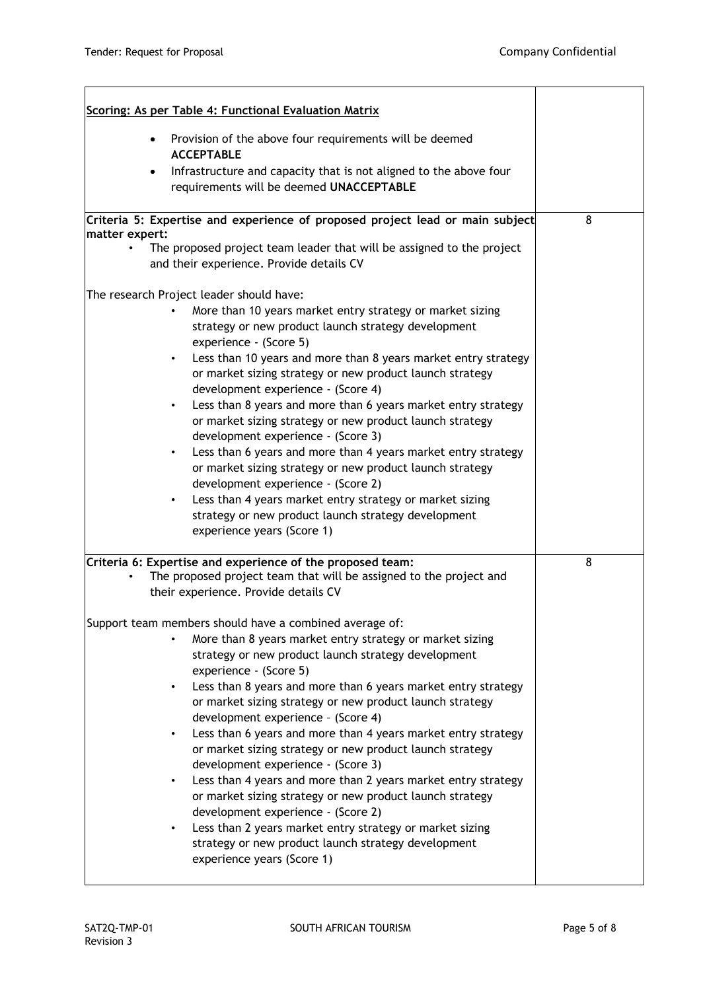| Scoring: As per Table 4: Functional Evaluation Matrix                                                                                                                               |   |
|-------------------------------------------------------------------------------------------------------------------------------------------------------------------------------------|---|
| Provision of the above four requirements will be deemed<br>$\bullet$<br><b>ACCEPTABLE</b>                                                                                           |   |
| Infrastructure and capacity that is not aligned to the above four<br>requirements will be deemed UNACCEPTABLE                                                                       |   |
| Criteria 5: Expertise and experience of proposed project lead or main subject<br>matter expert:                                                                                     | 8 |
| The proposed project team leader that will be assigned to the project<br>and their experience. Provide details CV                                                                   |   |
| The research Project leader should have:                                                                                                                                            |   |
| More than 10 years market entry strategy or market sizing<br>strategy or new product launch strategy development<br>experience - (Score 5)                                          |   |
| Less than 10 years and more than 8 years market entry strategy<br>$\bullet$<br>or market sizing strategy or new product launch strategy<br>development experience - (Score 4)       |   |
| Less than 8 years and more than 6 years market entry strategy<br>$\bullet$<br>or market sizing strategy or new product launch strategy<br>development experience - (Score 3)        |   |
| Less than 6 years and more than 4 years market entry strategy<br>$\bullet$<br>or market sizing strategy or new product launch strategy<br>development experience - (Score 2)        |   |
| Less than 4 years market entry strategy or market sizing<br>$\bullet$<br>strategy or new product launch strategy development<br>experience years (Score 1)                          |   |
| Criteria 6: Expertise and experience of the proposed team:<br>The proposed project team that will be assigned to the project and<br>$\bullet$                                       | 8 |
| their experience. Provide details CV                                                                                                                                                |   |
| Support team members should have a combined average of:                                                                                                                             |   |
| More than 8 years market entry strategy or market sizing<br>strategy or new product launch strategy development<br>experience - (Score 5)                                           |   |
| Less than 8 years and more than 6 years market entry strategy<br>$\bullet$<br>or market sizing strategy or new product launch strategy<br>development experience - (Score 4)        |   |
| Less than 6 years and more than 4 years market entry strategy<br>$\bullet$<br>or market sizing strategy or new product launch strategy<br>development experience - (Score 3)        |   |
| Less than 4 years and more than 2 years market entry strategy<br>$\bullet$<br>or market sizing strategy or new product launch strategy                                              |   |
| development experience - (Score 2)<br>Less than 2 years market entry strategy or market sizing<br>strategy or new product launch strategy development<br>experience years (Score 1) |   |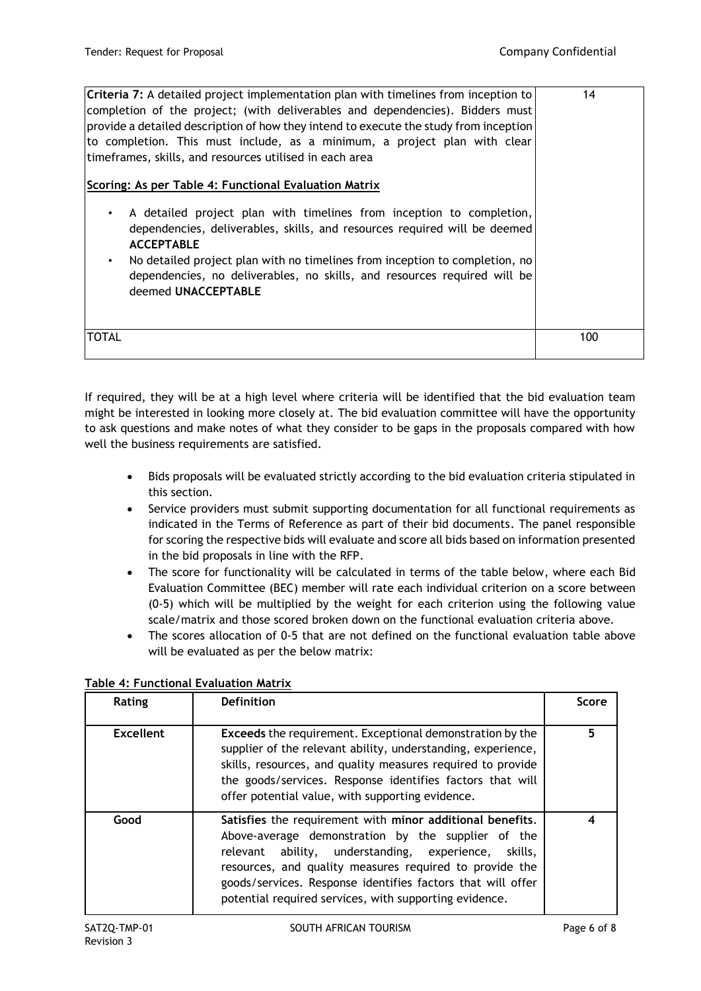| Criteria 7: A detailed project implementation plan with timelines from inception to<br>completion of the project; (with deliverables and dependencies). Bidders must<br>$ $ provide a detailed description of how they intend to execute the study from inception<br>to completion. This must include, as a minimum, a project plan with clear<br>timeframes, skills, and resources utilised in each area                           | 14  |
|-------------------------------------------------------------------------------------------------------------------------------------------------------------------------------------------------------------------------------------------------------------------------------------------------------------------------------------------------------------------------------------------------------------------------------------|-----|
| Scoring: As per Table 4: Functional Evaluation Matrix<br>A detailed project plan with timelines from inception to completion,<br>٠<br>dependencies, deliverables, skills, and resources required will be deemed<br><b>ACCEPTABLE</b><br>No detailed project plan with no timelines from inception to completion, no<br>$\bullet$<br>dependencies, no deliverables, no skills, and resources required will be<br>deemed UNACCEPTABLE |     |
| <b>TOTAL</b>                                                                                                                                                                                                                                                                                                                                                                                                                        | 100 |

If required, they will be at a high level where criteria will be identified that the bid evaluation team might be interested in looking more closely at. The bid evaluation committee will have the opportunity to ask questions and make notes of what they consider to be gaps in the proposals compared with how well the business requirements are satisfied.

- Bids proposals will be evaluated strictly according to the bid evaluation criteria stipulated in this section.
- Service providers must submit supporting documentation for all functional requirements as indicated in the Terms of Reference as part of their bid documents. The panel responsible for scoring the respective bids will evaluate and score all bids based on information presented in the bid proposals in line with the RFP.
- The score for functionality will be calculated in terms of the table below, where each Bid Evaluation Committee (BEC) member will rate each individual criterion on a score between (0-5) which will be multiplied by the weight for each criterion using the following value scale/matrix and those scored broken down on the functional evaluation criteria above.
- The scores allocation of 0-5 that are not defined on the functional evaluation table above will be evaluated as per the below matrix:

| Rating           | <b>Definition</b>                                                                                                                                                                                                                                                                                                                                              | Score |
|------------------|----------------------------------------------------------------------------------------------------------------------------------------------------------------------------------------------------------------------------------------------------------------------------------------------------------------------------------------------------------------|-------|
| <b>Excellent</b> | <b>Exceeds</b> the requirement. Exceptional demonstration by the<br>supplier of the relevant ability, understanding, experience,<br>skills, resources, and quality measures required to provide<br>the goods/services. Response identifies factors that will<br>offer potential value, with supporting evidence.                                               | 5     |
| Good             | Satisfies the requirement with minor additional benefits.<br>Above-average demonstration by the supplier of the<br>ability, understanding, experience, skills,<br>relevant<br>resources, and quality measures required to provide the<br>goods/services. Response identifies factors that will offer<br>potential required services, with supporting evidence. |       |

# **Table 4: Functional Evaluation Matrix**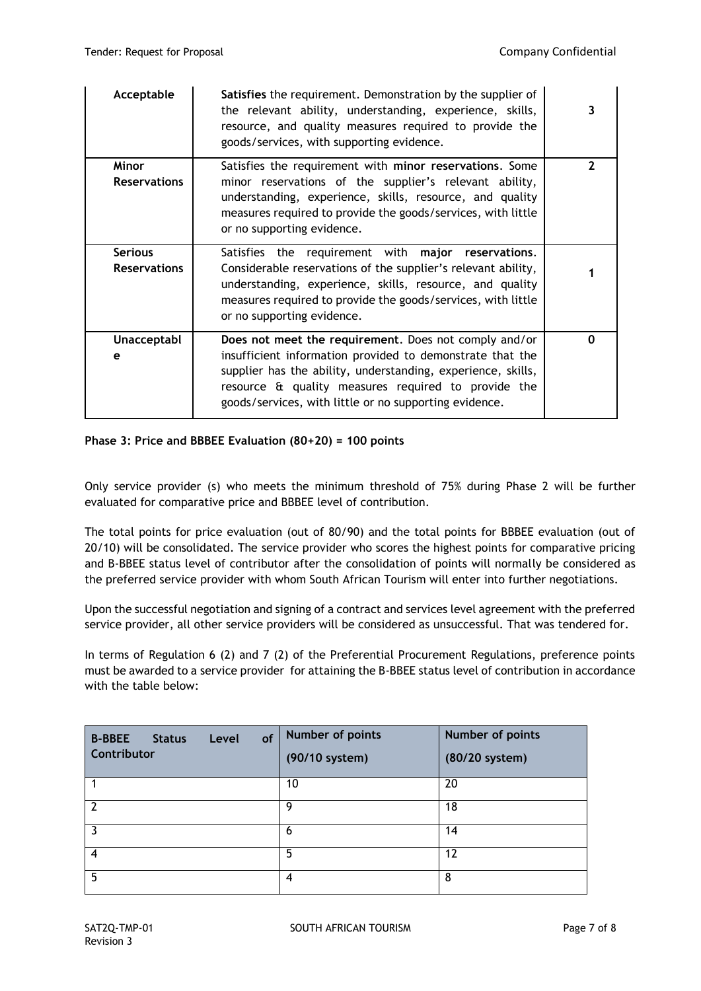| Acceptable                            | Satisfies the requirement. Demonstration by the supplier of<br>the relevant ability, understanding, experience, skills,<br>resource, and quality measures required to provide the<br>goods/services, with supporting evidence.                                                                      | 3            |
|---------------------------------------|-----------------------------------------------------------------------------------------------------------------------------------------------------------------------------------------------------------------------------------------------------------------------------------------------------|--------------|
| Minor<br><b>Reservations</b>          | Satisfies the requirement with minor reservations. Some<br>minor reservations of the supplier's relevant ability,<br>understanding, experience, skills, resource, and quality<br>measures required to provide the goods/services, with little<br>or no supporting evidence.                         | $\mathbf{2}$ |
| <b>Serious</b><br><b>Reservations</b> | Satisfies the requirement with major reservations.<br>Considerable reservations of the supplier's relevant ability,<br>understanding, experience, skills, resource, and quality<br>measures required to provide the goods/services, with little<br>or no supporting evidence.                       |              |
| <b>Unacceptabl</b><br>e               | Does not meet the requirement. Does not comply and/or<br>insufficient information provided to demonstrate that the<br>supplier has the ability, understanding, experience, skills,<br>resource & quality measures required to provide the<br>goods/services, with little or no supporting evidence. | 0            |

# **Phase 3: Price and BBBEE Evaluation (80+20) = 100 points**

Only service provider (s) who meets the minimum threshold of 75% during Phase 2 will be further evaluated for comparative price and BBBEE level of contribution.

The total points for price evaluation (out of 80/90) and the total points for BBBEE evaluation (out of 20/10) will be consolidated. The service provider who scores the highest points for comparative pricing and B-BBEE status level of contributor after the consolidation of points will normally be considered as the preferred service provider with whom South African Tourism will enter into further negotiations.

Upon the successful negotiation and signing of a contract and services level agreement with the preferred service provider, all other service providers will be considered as unsuccessful. That was tendered for.

In terms of Regulation 6 (2) and 7 (2) of the Preferential Procurement Regulations, preference points must be awarded to a service provider for attaining the B-BBEE status level of contribution in accordance with the table below:

| <b>B-BBEE</b><br>of<br><b>Status</b><br>Level<br>Contributor | Number of points<br>(90/10 system) | Number of points<br>(80/20 system) |
|--------------------------------------------------------------|------------------------------------|------------------------------------|
|                                                              | 10                                 | 20                                 |
| 2                                                            | 9                                  | 18                                 |
| 3                                                            | 6                                  | 14                                 |
| 4                                                            | 5                                  | 12                                 |
| 5                                                            | 4                                  | 8                                  |